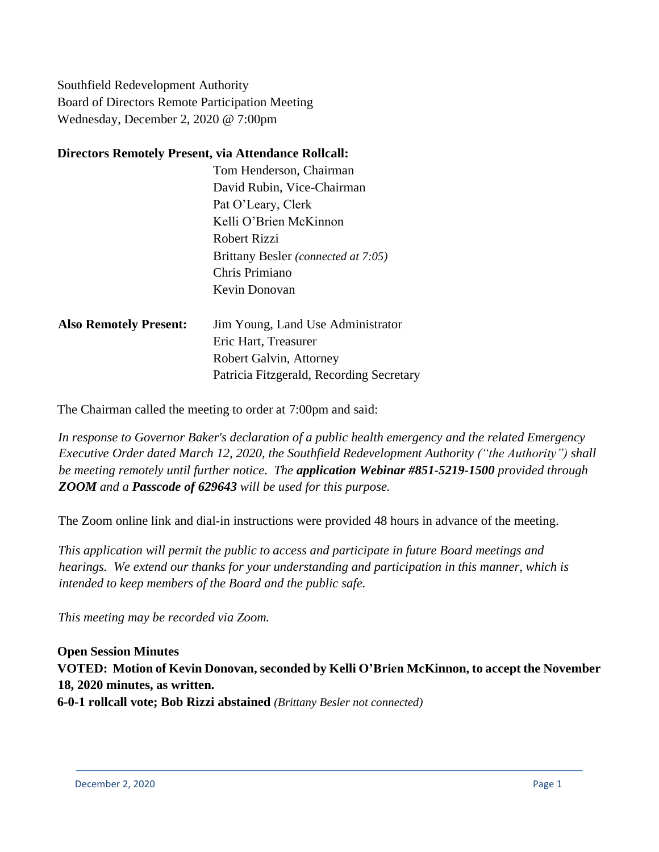Southfield Redevelopment Authority Board of Directors Remote Participation Meeting Wednesday, December 2, 2020 @ 7:00pm

### **Directors Remotely Present, via Attendance Rollcall:**

| Tom Henderson, Chairman             |
|-------------------------------------|
| David Rubin, Vice-Chairman          |
| Pat O'Leary, Clerk                  |
| Kelli O'Brien McKinnon              |
| Robert Rizzi                        |
| Brittany Besler (connected at 7:05) |
| Chris Primiano                      |
| Kevin Donovan                       |

| <b>Also Remotely Present:</b> | Jim Young, Land Use Administrator        |
|-------------------------------|------------------------------------------|
|                               | Eric Hart, Treasurer                     |
|                               | Robert Galvin, Attorney                  |
|                               | Patricia Fitzgerald, Recording Secretary |

The Chairman called the meeting to order at 7:00pm and said:

*In response to Governor Baker's declaration of a public health emergency and the related Emergency Executive Order dated March 12, 2020, the Southfield Redevelopment Authority ("the Authority") shall be meeting remotely until further notice. The application Webinar #851-5219-1500 provided through ZOOM and a Passcode of 629643 will be used for this purpose.*

The Zoom online link and dial-in instructions were provided 48 hours in advance of the meeting.

*This application will permit the public to access and participate in future Board meetings and hearings. We extend our thanks for your understanding and participation in this manner, which is intended to keep members of the Board and the public safe.*

*This meeting may be recorded via Zoom.*

**Open Session Minutes VOTED: Motion of Kevin Donovan, seconded by Kelli O'Brien McKinnon, to accept the November 18, 2020 minutes, as written. 6-0-1 rollcall vote; Bob Rizzi abstained** *(Brittany Besler not connected)*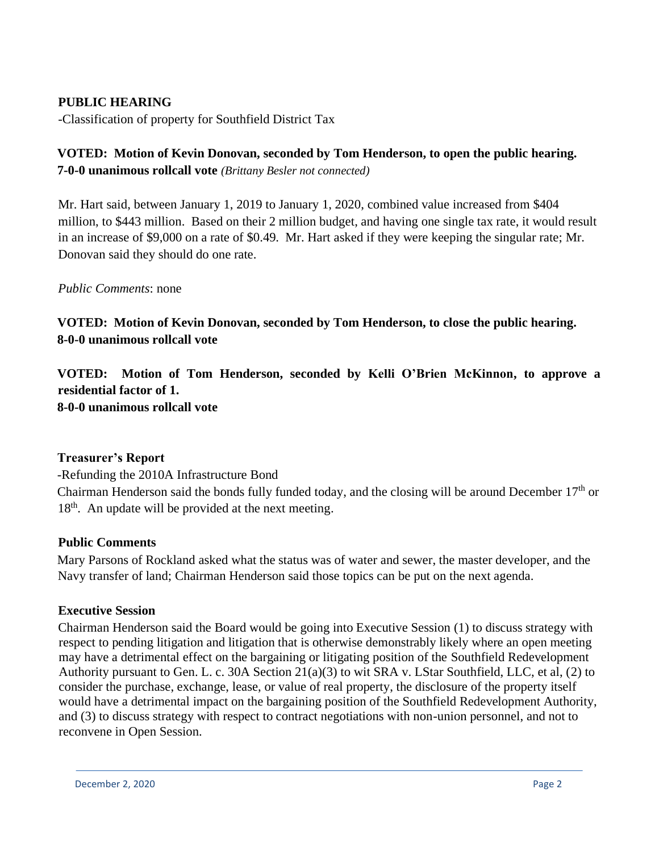## **PUBLIC HEARING**

-Classification of property for Southfield District Tax

## **VOTED: Motion of Kevin Donovan, seconded by Tom Henderson, to open the public hearing. 7-0-0 unanimous rollcall vote** *(Brittany Besler not connected)*

Mr. Hart said, between January 1, 2019 to January 1, 2020, combined value increased from \$404 million, to \$443 million. Based on their 2 million budget, and having one single tax rate, it would result in an increase of \$9,000 on a rate of \$0.49. Mr. Hart asked if they were keeping the singular rate; Mr. Donovan said they should do one rate.

#### *Public Comments*: none

**VOTED: Motion of Kevin Donovan, seconded by Tom Henderson, to close the public hearing. 8-0-0 unanimous rollcall vote**

**VOTED: Motion of Tom Henderson, seconded by Kelli O'Brien McKinnon, to approve a residential factor of 1. 8-0-0 unanimous rollcall vote**

#### **Treasurer's Report**

-Refunding the 2010A Infrastructure Bond Chairman Henderson said the bonds fully funded today, and the closing will be around December  $17<sup>th</sup>$  or 18<sup>th</sup>. An update will be provided at the next meeting.

#### **Public Comments**

Mary Parsons of Rockland asked what the status was of water and sewer, the master developer, and the Navy transfer of land; Chairman Henderson said those topics can be put on the next agenda.

#### **Executive Session**

Chairman Henderson said the Board would be going into Executive Session (1) to discuss strategy with respect to pending litigation and litigation that is otherwise demonstrably likely where an open meeting may have a detrimental effect on the bargaining or litigating position of the Southfield Redevelopment Authority pursuant to Gen. L. c. 30A Section 21(a)(3) to wit SRA v. LStar Southfield, LLC, et al, (2) to consider the purchase, exchange, lease, or value of real property, the disclosure of the property itself would have a detrimental impact on the bargaining position of the Southfield Redevelopment Authority, and (3) to discuss strategy with respect to contract negotiations with non-union personnel, and not to reconvene in Open Session.